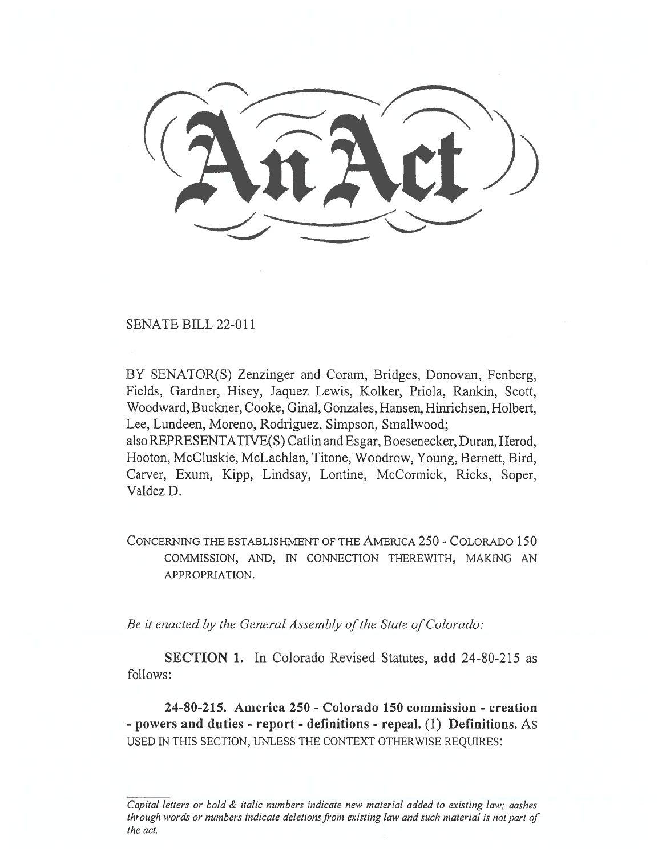SENATE BILL 22-011

BY SENATOR(S) Zenzinger and Coram, Bridges, Donovan, Fenberg, Fields, Gardner, Hisey, Jaquez Lewis, Kolker, Priola, Rankin, Scott, Woodward, Buckner, Cooke, Ginal, Gonzales, Hansen, Hinrichsen, Holbert, Lee, Lundeen, Moreno, Rodriguez, Simpson, Smallwood;

also REPRESENTATIVE(S) Catlin and Esgar, Boesenecker, Duran, Herod, Hooton, McCluskie, McLachlan, Titone, Woodrow, Young, Bernett, Bird, Carver, Exum, Kipp, Lindsay, Lontine, McCormick, Ricks, Soper, Valdez D.

CONCERNING THE ESTABLISHMENT OF THE AMERICA 250 - COLORADO 150 COMMISSION, AND, IN CONNECTION THEREWITH, MAKING AN APPROPRIATION.

Be it enacted by the General Assembly of the State of Colorado:

SECTION 1. In Colorado Revised Statutes, add 24-80-215 as follows:

24-80-215. America 250 - Colorado 150 commission - creation - powers and duties - report - definitions - repeal. (1) Definitions. As USED IN THIS SECTION, UNLESS THE CONTEXT OTHERWISE REQUIRES:

Capital letters or bold & italic numbers indicate new material added to existing law; dashes through words or numbers indicate deletions from existing law and such material is not part of the act.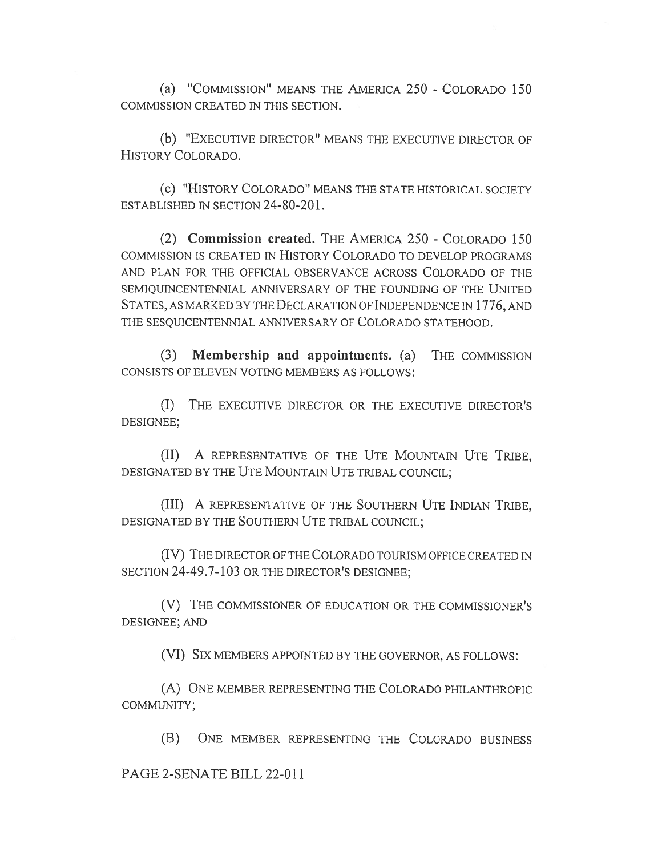(a) "COMMISSION" MEANS THE AMERICA 250 - COLORADO 150 COMMISSION CREATED IN THIS SECTION.

(b) "EXECUTIVE DIRECTOR" MEANS THE EXECUTIVE DIRECTOR OF HISTORY COLORADO.

(c) "HISTORY COLORADO" MEANS THE STATE HISTORICAL SOCIETY ESTABLISHED IN SECTION 24-80-201.

(2) Commission created. THE AMERICA 250 - COLORADO 150 COMMISSION IS CREATED IN HISTORY COLORADO TO DEVELOP PROGRAMS AND PLAN FOR THE OFFICIAL OBSERVANCE ACROSS COLORADO OF THE SEMIQUINCENTENNIAL ANNIVERSARY OF THE FOUNDING OF THE UNITED STATES, AS MARKED BY THE DECLARATION OF INDEPENDENCE IN 1776, AND THE SESQUICENTENNIAL ANNIVERSARY OF COLORADO STATEHOOD.

(3) Membership and appointments. (a) THE COMMISSION CONSISTS OF ELEVEN VOTING MEMBERS AS FOLLOWS:

(I) THE EXECUTIVE DIRECTOR OR THE EXECUTIVE DIRECTOR'S DESIGNEE;

(II) A REPRESENTATIVE OF THE UTE MOUNTAIN UTE TRIBE, DESIGNATED BY THE UTE MOUNTAIN UTE TRIBAL COUNCIL;

(III) A REPRESENTATIVE OF THE SOUTHERN UTE INDIAN TRIBE, DESIGNATED BY THE SOUTHERN UTE TRIBAL COUNCIL;

(IV) THE DIRECTOR OF THE COLORADO TOURISM OFFICE CREATED IN SECTION 24-49.7-103 OR THE DIRECTOR'S DESIGNEE;

(V) THE COMMISSIONER OF EDUCATION OR THE COMMISSIONER'S DESIGNEE; AND

(VI) SIX MEMBERS APPOINTED BY THE GOVERNOR, AS FOLLOWS:

(A) ONE MEMBER REPRESENTING THE COLORADO PHILANTHROPIC COMMUNITY;

(B) ONE MEMBER REPRESENTING THE COLORADO BUSINESS

PAGE 2-SENATE BILL 22-011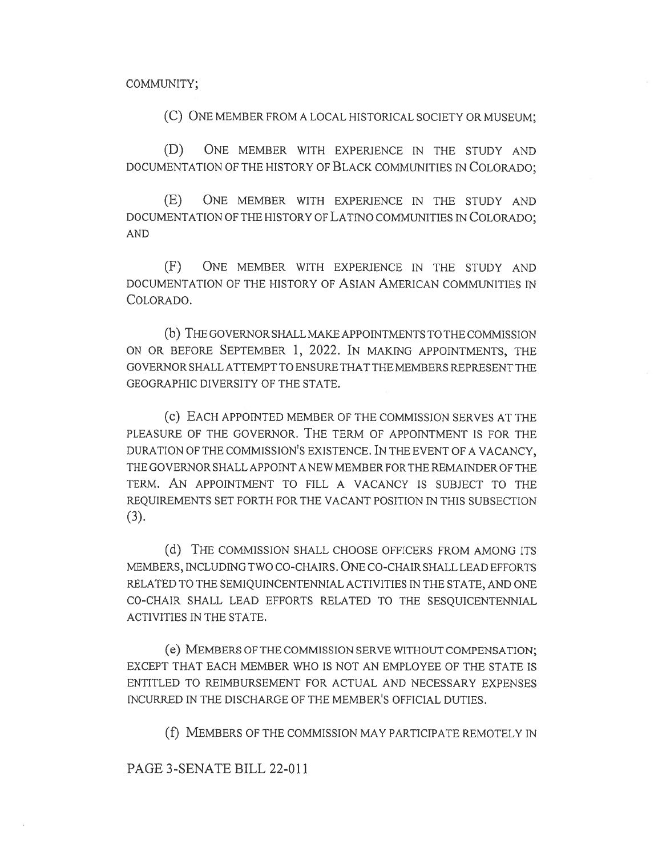COMMUNITY;

(C) ONE MEMBER FROM A LOCAL HISTORICAL SOCIETY OR MUSEUM;

(D) ONE MEMBER WITH EXPERIENCE IN THE STUDY AND DOCUMENTATION OF THE HISTORY OF BLACK COMMUNITIES IN COLORADO;

(E) ONE MEMBER WITH EXPERIENCE IN THE STUDY AND DOCUMENTATION OF THE HISTORY OF LATINO COMMUNITIES IN COLORADO; AND

(F) ONE MEMBER WITH EXPERIENCE IN THE STUDY AND DOCUMENTATION OF THE HISTORY OF ASIAN AMERICAN COMMUNITIES IN COLORADO.

(b) THE GOVERNOR SHALL MAKE APPOINTMENTS TO THE COMMISSION ON OR BEFORE SEPTEMBER 1, 2022. IN MAKING APPOINTMENTS, THE GOVERNOR SHALL ATTEMPT TO ENSURE THAT THE MEMBERS REPRESENT THE GEOGRAPHIC DIVERSITY OF THE STATE.

(c) EACH APPOINTED MEMBER OF THE COMMISSION SERVES AT THE PLEASURE OF THE GOVERNOR. THE TERM OF APPOINTMENT IS FOR THE DURATION OF THE COMMISSION'S EXISTENCE. IN THE EVENT OF A VACANCY, THE GOVERNOR SHALL APPOINT A NEW MEMBER FOR THE REMAINDER OF THE TERM. AN APPOINTMENT TO FILL A VACANCY IS SUBJECT TO THE REQUIREMENTS SET FORTH FOR THE VACANT POSITION IN THIS SUBSECTION (3).

(d) THE COMMISSION SHALL CHOOSE OFFICERS FROM AMONG ITS MEMBERS, INCLUDING TWO CO-CHAIRS. ONE CO-CHAIR SHALL LEAD EFFORTS RELATED TO THE SEMIQUINCENTENNIAL ACTIVITIES IN THE STATE, AND ONE CO-CHAIR SHALL LEAD EFFORTS RELATED TO THE SESQUICENTENNIAL ACTIVITIES IN THE STATE.

(e) MEMBERS OF THE COMMISSION SERVE WITHOUT COMPENSATION; EXCEPT THAT EACH MEMBER WHO IS NOT AN EMPLOYEE OF THE STATE IS ENTITLED TO REIMBURSEMENT FOR ACTUAL AND NECESSARY EXPENSES INCURRED IN THE DISCHARGE OF THE MEMBER'S OFFICIAL DUTIES.

(f) MEMBERS OF THE COMMISSION MAY PARTICIPATE REMOTELY IN

## PAGE 3-SENATE BILL 22-011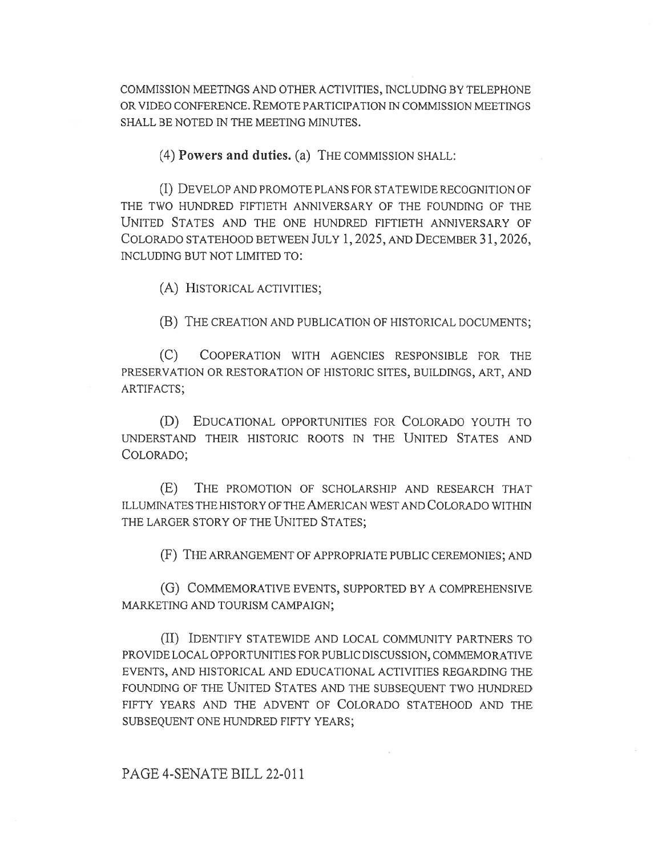COMMISSION MEETINGS AND OTHER ACTIVITIES, INCLUDING BY TELEPHONE OR VIDEO CONFERENCE. REMOTE PARTICIPATION IN COMMISSION MEETINGS SHALL BE NOTED IN THE MEETING MINUTES.

(4) Powers and duties. (a) THE COMMISSION SHALL:

(I) DEVELOP AND PROMOTE PLANS FOR STATEWIDE RECOGNITION OF THE TWO HUNDRED FIFTIETH ANNIVERSARY OF THE FOUNDING OF THE UNITED STATES AND THE ONE HUNDRED FIFTIETH ANNIVERSARY OF COLORADO STATEHOOD BETWEEN JULY I, 2025, AND DECEMBER 31, 2026, INCLUDING BUT NOT LIMITED TO:

(A) HISTORICAL ACTIVITIES;

(B) THE CREATION AND PUBLICATION OF HISTORICAL DOCUMENTS;

(C) COOPERATION WITH AGENCIES RESPONSIBLE FOR THE PRESERVATION OR RESTORATION OF HISTORIC SITES, BUILDINGS, ART, AND ARTIFACTS;

(D) EDUCATIONAL OPPORTUNITIES FOR COLORADO YOUTH TO UNDERSTAND THEIR HISTORIC ROOTS IN THE UNITED STATES AND COLORADO;

(E) THE PROMOTION OF SCHOLARSHIP AND RESEARCH THAT ILLUMINATES THE HISTORY OF THE AMERICAN WEST AND COLORADO WITHIN THE LARGER STORY OF THE UNITED STATES;

(F) THE ARRANGEMENT OF APPROPRIATE PUBLIC CEREMONIES; AND

(G) COMMEMORATIVE EVENTS, SUPPORTED BY A COMPREHENSIVE MARKETING AND TOURISM CAMPAIGN;

(II) IDENTIFY STATEWIDE AND LOCAL COMMUNITY PARTNERS TO PROVIDE LOCAL OPPORTUNITIES FOR PUBLIC DISCUSSION, COMMEMORATIVE EVENTS, AND HISTORICAL AND EDUCATIONAL ACTIVITIES REGARDING THE FOUNDING OF THE UNITED STATES AND THE SUBSEQUENT TWO HUNDRED FIFTY YEARS AND THE ADVENT OF COLORADO STATEHOOD AND THE SUBSEQUENT ONE HUNDRED FIFTY YEARS;

PAGE 4-SENATE BILL 22-011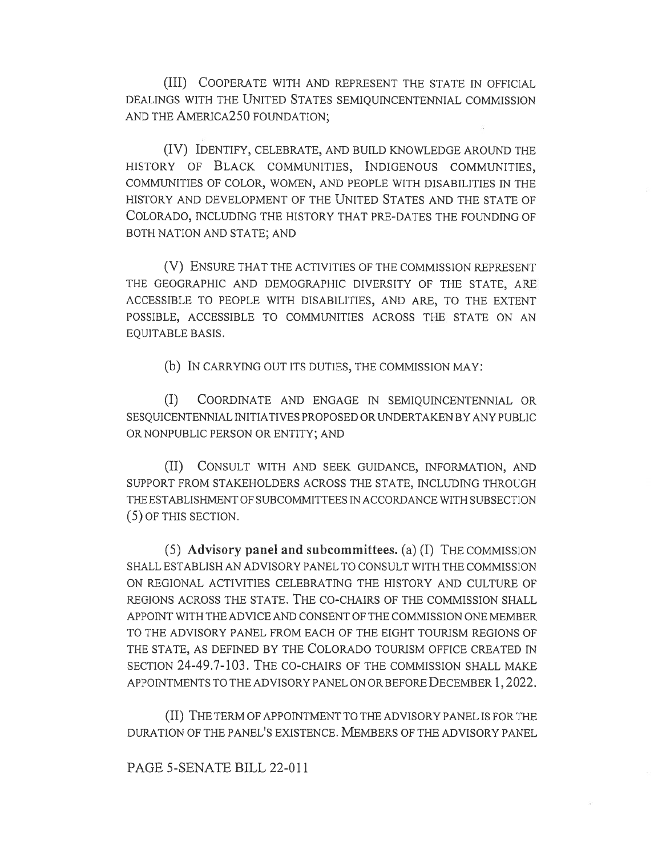(III) COOPERATE WITH AND REPRESENT THE STATE IN OFFICIAL DEALINGS WITH THE UNITED STATES SEMIQUINCENTENNIAL COMMISSION AND THE AMERICA250 FOUNDATION;

(IV) IDENTIFY, CELEBRATE, AND BUILD KNOWLEDGE AROUND THE HISTORY OF BLACK COMMUNITIES, INDIGENOUS COMMUNITIES, COMMUNITIES OF COLOR, WOMEN, AND PEOPLE WITH DISABILITIES IN THE HISTORY AND DEVELOPMENT OF THE UNITED STATES AND THE STATE OF COLORADO, INCLUDING THE HISTORY THAT PRE-DATES THE FOUNDING OF BOTH NATION AND STATE; AND

(V) ENSURE THAT THE ACTIVITIES OF THE COMMISSION REPRESENT THE GEOGRAPHIC AND DEMOGRAPHIC DIVERSITY OF THE STATE, ARE ACCESSIBLE TO PEOPLE WITH DISABILITIES, AND ARE, TO THE EXTENT POSSIBLE, ACCESSIBLE TO COMMUNITIES ACROSS THE STATE ON AN EQUITABLE BASIS.

(b) IN CARRYING OUT ITS DUTIES, THE COMMISSION MAY:

(I) COORDINATE AND ENGAGE IN SEMIQUINCENTENNIAL OR SESQUICENTENNIAL INITIATIVES PROPOSED OR UNDERTAKEN BY ANY PUBLIC OR NONPUBLIC PERSON OR ENTITY; AND

(II) CONSULT WITH AND SEEK GUIDANCE, INFORMATION, AND SUPPORT FROM STAKEHOLDERS ACROSS THE STATE, INCLUDING THROUGH THE ESTABLISHMENT OF SUBCOMMITTEES IN ACCORDANCE WITH SUBSECTION (5) OF THIS SECTION.

(5) Advisory panel and subcommittees. (a) (I) THE COMMISSION SHALL ESTABLISH AN ADVISORY PANEL TO CONSULT WITH THE COMMISSION ON REGIONAL ACTIVITIES CELEBRATING THE HISTORY AND CULTURE OF REGIONS ACROSS THE STATE. THE CO-CHAIRS OF THE COMMISSION SHALL APPOINT WITH THE ADVICE AND CONSENT OF THE COMMISSION ONE MEMBER TO THE ADVISORY PANEL FROM EACH OF THE EIGHT TOURISM REGIONS OF THE STATE, AS DEFINED BY THE COLORADO TOURISM OFFICE CREATED IN SECTION 24-49.7-103. THE CO-CHAIRS OF THE COMMISSION SHALL MAKE APPOINTMENTS TO THE ADVISORY PANEL ON OR BEFORE DECEMBER 1,2022.

(II) THE TERM OF APPOINTMENT TO THE ADVISORY PANEL IS FOR THE DURATION OF THE PANEL'S EXISTENCE. MEMBERS OF THE ADVISORY PANEL

PAGE 5-SENATE BILL 22-011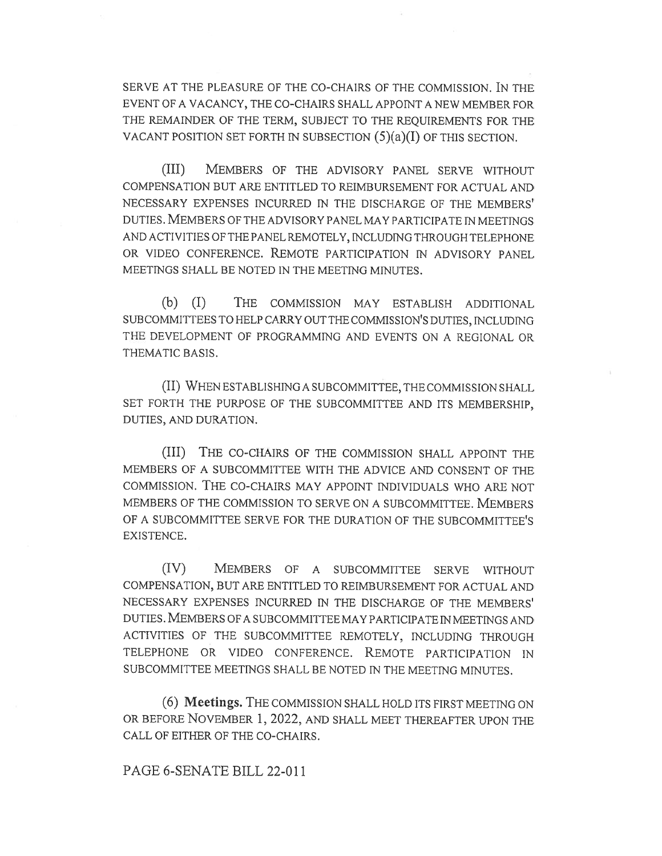SERVE AT THE PLEASURE OF THE CO-CHAIRS OF THE COMMISSION. IN THE EVENT OF A VACANCY, THE CO-CHAIRS SHALL APPOINT A NEW MEMBER FOR THE REMAINDER OF THE TERM, SUBJECT TO THE REQUIREMENTS FOR THE VACANT POSITION SET FORTH IN SUBSECTION  $(5)(a)(I)$  OF THIS SECTION.

(III) MEMBERS OF THE ADVISORY PANEL SERVE WITHOUT COMPENSATION BUT ARE ENTITLED TO REIMBURSEMENT FOR ACTUAL AND NECESSARY EXPENSES INCURRED IN THE DISCHARGE OF THE MEMBERS' DUTIES. MEMBERS OF THE ADVISORY PANEL MAY PARTICIPATE IN MEETINGS AND ACTIVITIES OF THE PANEL REMOTELY, INCLUDING THROUGH TELEPHONE OR VIDEO CONFERENCE. REMOTE PARTICIPATION IN ADVISORY PANEL MEETINGS SHALL BE NOTED IN THE MEETING MINUTES.

(b) (I) THE COMMISSION MAY ESTABLISH ADDITIONAL SUBCOMMITTEES TO HELP CARRY OUT THE COMMISSION'S DUTIES, INCLUDING THE DEVELOPMENT OF PROGRAMMING AND EVENTS ON A REGIONAL OR THEMATIC BASIS.

(II) WHEN ESTABLISHING A SUBCOMMITTEE, THE COMMISSION SHALL SET FORTH THE PURPOSE OF THE SUBCOMMITTEE AND ITS MEMBERSHIP, DUTIES, AND DURATION.

(III) THE CO-CHAIRS OF THE COMMISSION SHALL APPOINT THE MEMBERS OF A SUBCOMMITTEE WITH THE ADVICE AND CONSENT OF THE COMMISSION. THE CO-CHAIRS MAY APPOINT INDIVIDUALS WHO ARE NOT MEMBERS OF THE COMMISSION TO SERVE ON A SUBCOMMITTEE. MEMBERS OF A SUBCOMMITTEE SERVE FOR THE DURATION OF THE SUBCOMMITTEE'S EXISTENCE.

(IV) MEMBERS OF A SUBCOMMITTEE SERVE WITHOUT COMPENSATION, BUT ARE ENTITLED TO REIMBURSEMENT FOR ACTUAL AND NECESSARY EXPENSES INCURRED IN THE DISCHARGE OF THE MEMBERS' DUTIES. MEMBERS OF A SUBCOMMITTEE MAY PARTICIPATE IN MEETINGS AND ACTIVITIES OF THE SUBCOMMITTEE REMOTELY, INCLUDING THROUGH TELEPHONE OR VIDEO CONFERENCE. REMOTE PARTICIPATION IN SUBCOMMITTEE MEETINGS SHALL BE NOTED IN THE MEETING MINUTES.

(6) Meetings. THE COMMISSION SHALL HOLD ITS FIRST MEETING ON OR BEFORE NOVEMBER 1, 2022, AND SHALL MEET THEREAFTER UPON THE CALL OF EITHER OF THE CO-CHAIRS.

## PAGE 6-SENATE BILL 22-011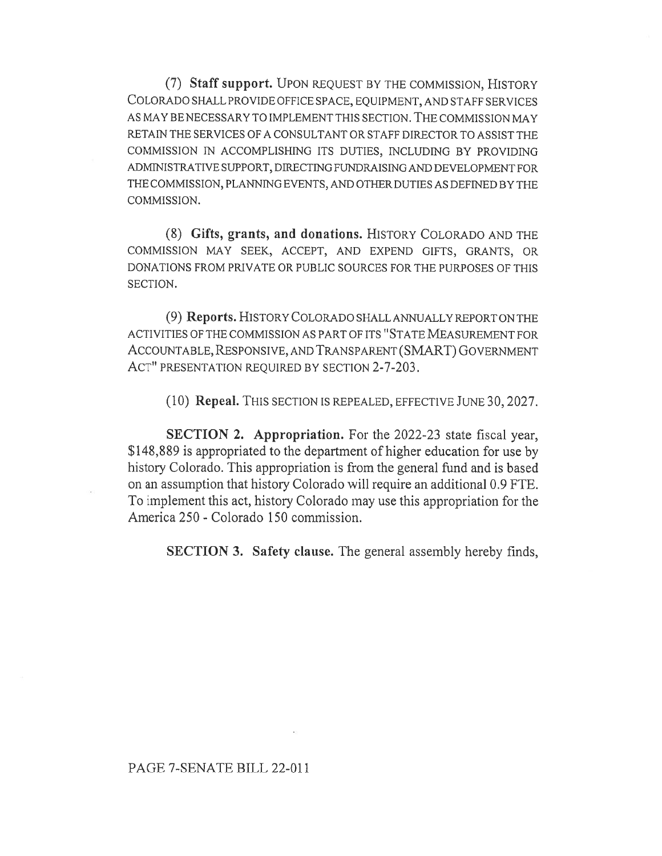(7) Staff support. UPON REQUEST BY THE COMMISSION, HISTORY COLORADO SHALL PROVIDE OFFICE SPACE, EQUIPMENT, AND STAFF SERVICES AS MAY BE NECESSARY TO IMPLEMENT THIS SECTION. THE COMMISSION MAY RETAIN THE SERVICES OF A CONSULTANT OR STAFF DIRECTOR TO ASSIST THE COMMISSION rN ACCOMPLISHING ITS DUTIES, INCLUDING BY PROVIDING ADMINISTRATIVE SUPPORT, DIRECTING FUNDRAISING AND DEVELOPMENT FOR THE COMMISSION, PLANNING EVENTS, AND OTHER DUTIES AS DEFINED BY THE COMMISSION.

(8) Gifts, grants, and donations. HISTORY COLORADO AND THE COMMISSION MAY SEEK, ACCEPT, AND EXPEND GIFTS, GRANTS, OR DONATIONS FROM PRIVATE OR PUBLIC SOURCES FOR THE PURPOSES OF THIS SECTION.

(9) Reports. HISTORY COLORADO SHALL ANNUALLY REPORT ON THE ACTIVITIES OF THE COMMISSION AS PART OF ITS "STATE MEASUREMENT FOR ACCOUNTABLE, RESPONSIVE, AND TRANSPARENT (SMART) GOVERNMENT ACT" PRESENTATION REQUIRED BY SECTION 2-7-203.

(10) Repeal. THIS SECTION IS REPEALED, EFFECTIVE JUNE 30, 2027.

SECTION 2. Appropriation. For the 2022-23 state fiscal year, \$148,889 is appropriated to the department of higher education for use by history Colorado. This appropriation is from the general fund and is based on an assumption that history Colorado will require an additional 0.9 FTE. To implement this act, history Colorado may use this appropriation for the America 250 - Colorado 150 commission.

SECTION 3. Safety clause. The general assembly hereby finds,

## PAGE 7-SENATE BILL 22-011